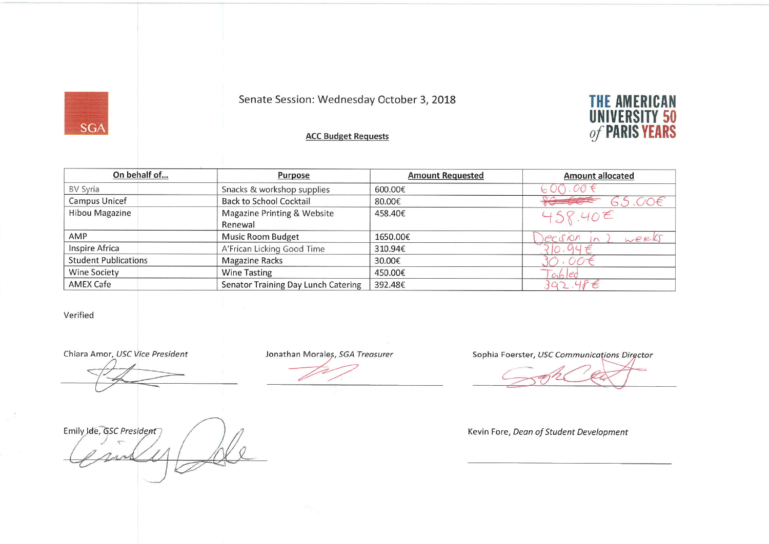## Senate Session: Wednesday October 3, 2018



### **ACC Budget Requests**

| On behalf of                | Purpose                                    | <b>Amount Requested</b> | <b>Amount allocated</b> |
|-----------------------------|--------------------------------------------|-------------------------|-------------------------|
| BV Syria                    | Snacks & workshop supplies                 | 600.00€                 | 600.00                  |
| Campus Unicef               | <b>Back to School Cocktail</b>             | 80.00€                  | 65.006                  |
| Hibou Magazine              | Magazine Printing & Website<br>Renewal     | 458.40€                 | 458.40 <sup>2</sup>     |
| AMP                         | Music Room Budget                          | 1650.00€                | ecision<br>weeks        |
| Inspire Africa              | A'Frican Licking Good Time                 | 310.94€                 | 10.94E                  |
| <b>Student Publications</b> | <b>Magazine Racks</b>                      | 30.00€                  | $.$ $COC$               |
| <b>Wine Society</b>         | <b>Wine Tasting</b>                        | 450.00€                 | $ch$ $ed$               |
| AMEX Cafe                   | <b>Senator Training Day Lunch Catering</b> | 392.48€                 | 392.486                 |

### Verified

**SGA** 

Chiara Amor, USC Vice President

Emily Ide, GSC President

Jonathan Morales, SGA Treasurer

Sophia Foerster, USC Communications Director

#### Kevin Fore, Dean of Student Development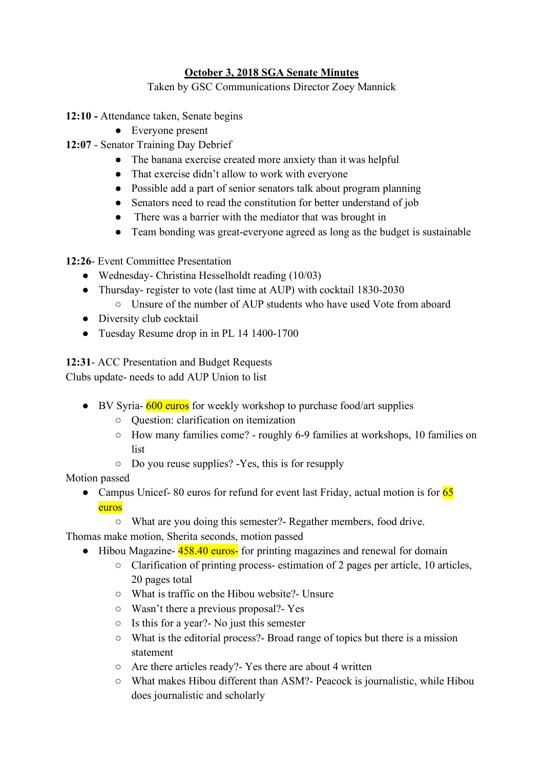# **October 3, 2018 SGA Senate Minutes**

Taken by GSC Communications Director Zoey Mannick

- **12:10 -** Attendance taken, Senate begins
	- Everyone present
- **12:07** Senator Training Day Debrief
	- The banana exercise created more anxiety than it was helpful
	- That exercise didn't allow to work with everyone
	- Possible add a part of senior senators talk about program planning
	- Senators need to read the constitution for better understand of job
	- There was a barrier with the mediator that was brought in
	- Team bonding was great-everyone agreed as long as the budget is sustainable

**12:26**- Event Committee Presentation

- Wednesday- Christina Hesselholdt reading (10/03)
- Thursday- register to vote (last time at AUP) with cocktail 1830-2030
	- Unsure of the number of AUP students who have used Vote from aboard
- Diversity club cocktail
- Tuesday Resume drop in in PL 14 1400-1700

**12:31**- ACC Presentation and Budget Requests

Clubs update- needs to add AUP Union to list

- BV Syria- 600 euros for weekly workshop to purchase food/art supplies
	- Question: clarification on itemization
	- How many families come? roughly 6-9 families at workshops, 10 families on list
	- Do you reuse supplies? -Yes, this is for resupply

Motion passed

- Campus Unicef-80 euros for refund for event last Friday, actual motion is for 65 euros
	- What are you doing this semester?- Regather members, food drive.

Thomas make motion, Sherita seconds, motion passed

- Hibou Magazine- 458.40 euros- for printing magazines and renewal for domain
	- Clarification of printing process- estimation of 2 pages per article, 10 articles, 20 pages total
	- What is traffic on the Hibou website?- Unsure
	- Wasn't there a previous proposal?- Yes
	- Is this for a year?- No just this semester
	- What is the editorial process?- Broad range of topics but there is a mission statement
	- Are there articles ready?- Yes there are about 4 written
	- What makes Hibou different than ASM?- Peacock is journalistic, while Hibou does journalistic and scholarly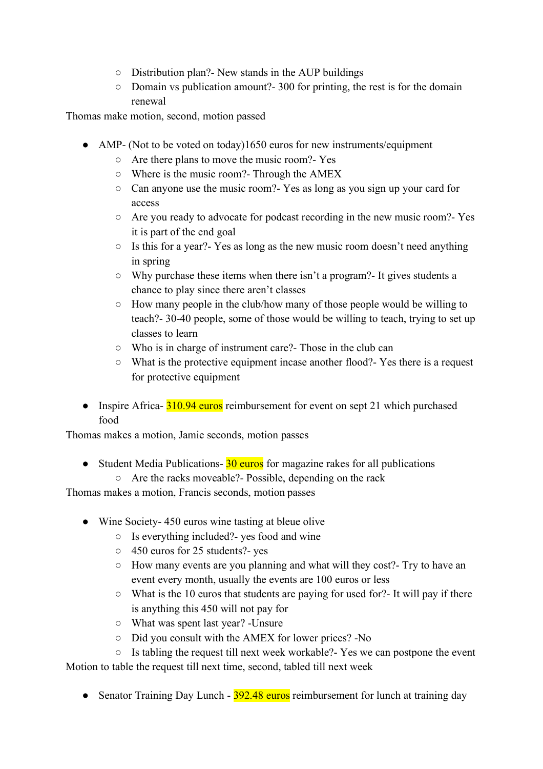- Distribution plan?- New stands in the AUP buildings
- Domain vs publication amount?- 300 for printing, the rest is for the domain renewal

Thomas make motion, second, motion passed

- AMP- (Not to be voted on today)1650 euros for new instruments/equipment
	- Are there plans to move the music room?- Yes
	- Where is the music room?- Through the AMEX
	- Can anyone use the music room?- Yes as long as you sign up your card for access
	- Are you ready to advocate for podcast recording in the new music room?- Yes it is part of the end goal
	- Is this for a year?- Yes as long as the new music room doesn't need anything in spring
	- Why purchase these items when there isn't a program?- It gives students a chance to play since there aren't classes
	- How many people in the club/how many of those people would be willing to teach?- 30-40 people, some of those would be willing to teach, trying to set up classes to learn
	- Who is in charge of instrument care?- Those in the club can
	- What is the protective equipment incase another flood?- Yes there is a request for protective equipment
- Inspire Africa- 310.94 euros reimbursement for event on sept 21 which purchased food

Thomas makes a motion, Jamie seconds, motion passes

• Student Media Publications- $\frac{30 \text{ euros}}{1000}$  for magazine rakes for all publications ○ Are the racks moveable?- Possible, depending on the rack

Thomas makes a motion, Francis seconds, motion passes

- Wine Society-450 euros wine tasting at bleue olive
	- Is everything included?- yes food and wine
	- 450 euros for 25 students?- yes
	- How many events are you planning and what will they cost?- Try to have an event every month, usually the events are 100 euros or less
	- What is the 10 euros that students are paying for used for?- It will pay if there is anything this 450 will not pay for
	- What was spent last year? -Unsure
	- Did you consult with the AMEX for lower prices? -No
- Is tabling the request till next week workable?- Yes we can postpone the event Motion to table the request till next time, second, tabled till next week
	- Senator Training Day Lunch 392.48 euros reimbursement for lunch at training day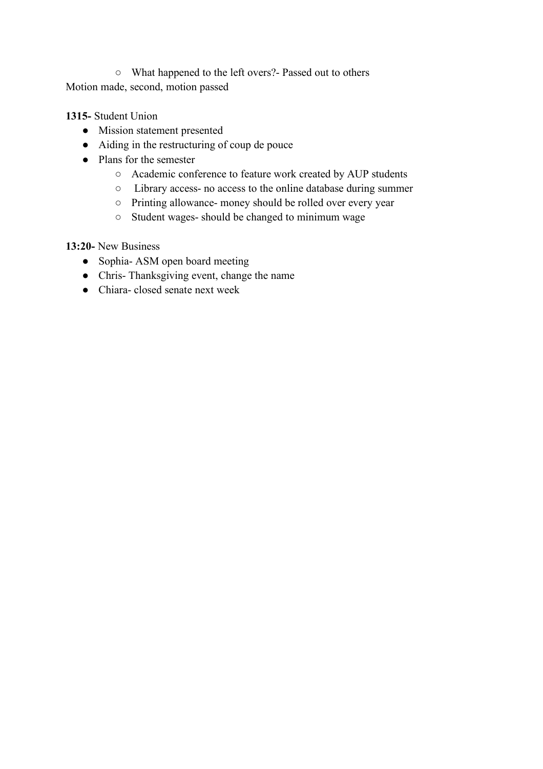○ What happened to the left overs?- Passed out to others Motion made, second, motion passed

## **1315-** Student Union

- Mission statement presented
- Aiding in the restructuring of coup de pouce
- Plans for the semester
	- Academic conference to feature work created by AUP students
	- Library access- no access to the online database during summer
	- Printing allowance- money should be rolled over every year
	- Student wages- should be changed to minimum wage

## **13:20-** New Business

- Sophia- ASM open board meeting
- Chris-Thanksgiving event, change the name
- Chiara- closed senate next week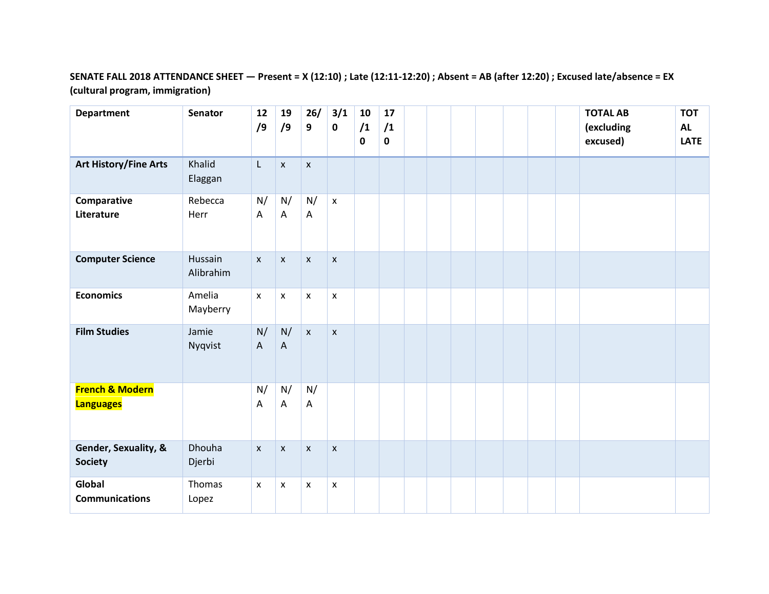## **SENATE FALL 2018 ATTENDANCE SHEET — Present = X (12:10) ; Late (12:11-12:20) ; Absent = AB (after 12:20) ; Excused late/absence = EX (cultural program, immigration)**

| <b>Department</b>                              | Senator              | 12<br>/9                        | 19<br>/9                        | 26/<br>9           | 3/1<br>$\mathbf 0$        | 10<br>/1<br>$\mathbf 0$ | 17<br>/1<br>$\mathbf 0$ |  |  |  | <b>TOTAL AB</b><br>(excluding<br>excused) | <b>TOT</b><br><b>AL</b><br>LATE |
|------------------------------------------------|----------------------|---------------------------------|---------------------------------|--------------------|---------------------------|-------------------------|-------------------------|--|--|--|-------------------------------------------|---------------------------------|
| <b>Art History/Fine Arts</b>                   | Khalid<br>Elaggan    | L.                              | $\pmb{\mathsf{X}}$              | $\pmb{\mathsf{X}}$ |                           |                         |                         |  |  |  |                                           |                                 |
| Comparative<br>Literature                      | Rebecca<br>Herr      | N/<br>Α                         | N/<br>A                         | N/<br>A            | $\mathsf{x}$              |                         |                         |  |  |  |                                           |                                 |
| <b>Computer Science</b>                        | Hussain<br>Alibrahim | $\mathsf{x}$                    | $\pmb{\mathsf{X}}$              | $\pmb{\mathsf{x}}$ | $\pmb{\mathsf{x}}$        |                         |                         |  |  |  |                                           |                                 |
| <b>Economics</b>                               | Amelia<br>Mayberry   | $\pmb{\mathsf{x}}$              | $\pmb{\mathsf{X}}$              | $\pmb{\mathsf{x}}$ | $\pmb{\times}$            |                         |                         |  |  |  |                                           |                                 |
| <b>Film Studies</b>                            | Jamie<br>Nyqvist     | N/<br>$\boldsymbol{\mathsf{A}}$ | N/<br>$\boldsymbol{\mathsf{A}}$ | $\mathsf{X}$       | $\boldsymbol{\mathsf{x}}$ |                         |                         |  |  |  |                                           |                                 |
| <b>French &amp; Modern</b><br><b>Languages</b> |                      | N/<br>Α                         | N/<br>A                         | N/<br>Α            |                           |                         |                         |  |  |  |                                           |                                 |
| Gender, Sexuality, &<br><b>Society</b>         | Dhouha<br>Djerbi     | $\pmb{\mathsf{X}}$              | $\pmb{\mathsf{X}}$              | $\pmb{\mathsf{x}}$ | $\pmb{\mathsf{X}}$        |                         |                         |  |  |  |                                           |                                 |
| Global<br><b>Communications</b>                | Thomas<br>Lopez      | $\mathsf{x}$                    | X                               | X                  | X                         |                         |                         |  |  |  |                                           |                                 |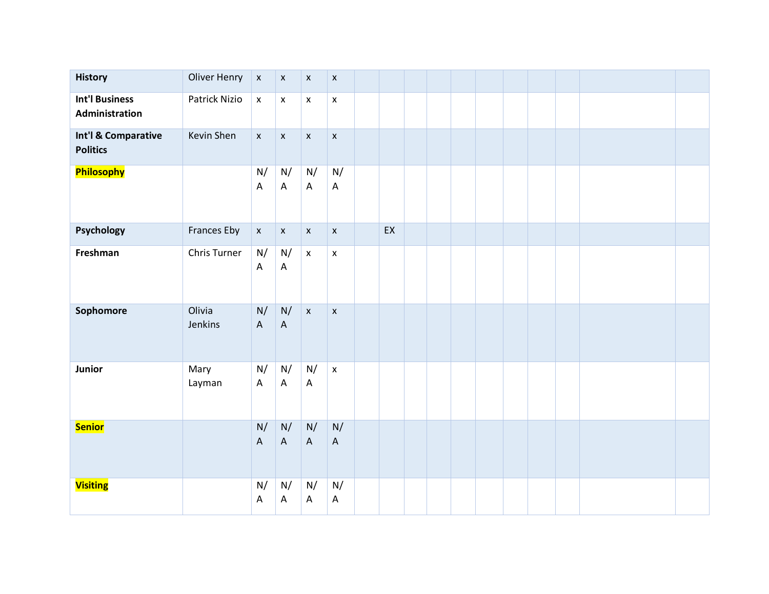| <b>History</b>                          | <b>Oliver Henry</b> | $\pmb{\mathsf{x}}$                                     | $\pmb{\mathsf{X}}$                       | $\pmb{\mathsf{X}}$ | $\pmb{\mathsf{x}}$                       |    |  |  |  |  |  |
|-----------------------------------------|---------------------|--------------------------------------------------------|------------------------------------------|--------------------|------------------------------------------|----|--|--|--|--|--|
| <b>Int'l Business</b><br>Administration | Patrick Nizio       | $\pmb{\mathsf{x}}$                                     | $\mathsf X$                              | $\pmb{\mathsf{x}}$ | $\pmb{\mathsf{x}}$                       |    |  |  |  |  |  |
| Int'l & Comparative<br><b>Politics</b>  | Kevin Shen          | $\mathsf X$                                            | $\mathsf X$                              | $\mathsf X$        | $\boldsymbol{\mathsf{X}}$                |    |  |  |  |  |  |
| Philosophy                              |                     | N/<br>$\boldsymbol{\mathsf{A}}$                        | N/<br>$\mathsf A$                        | N/<br>$\mathsf A$  | N/<br>A                                  |    |  |  |  |  |  |
| Psychology                              | Frances Eby         | $\mathsf X$                                            | $\mathsf X$                              | $\mathsf X$        | $\boldsymbol{\mathsf{X}}$                | EX |  |  |  |  |  |
| Freshman                                | Chris Turner        | $\mathsf{N}/% \mathsf{N}$<br>$\boldsymbol{\mathsf{A}}$ | N/<br>$\mathsf A$                        | $\bar{\mathbf{x}}$ | $\pmb{\mathsf{x}}$                       |    |  |  |  |  |  |
| Sophomore                               | Olivia<br>Jenkins   | N/<br>$\boldsymbol{\mathsf{A}}$                        | $\mathsf{N}/% \mathsf{N}$<br>$\mathsf A$ | $\mathbf{x}$       | $\boldsymbol{\mathsf{X}}$                |    |  |  |  |  |  |
| Junior                                  | Mary<br>Layman      | N/<br>$\boldsymbol{\mathsf{A}}$                        | N/<br>$\boldsymbol{\mathsf{A}}$          | N/<br>$\mathsf A$  | $\mathsf X$                              |    |  |  |  |  |  |
| <b>Senior</b>                           |                     | N/<br>$\boldsymbol{\mathsf{A}}$                        | N/<br>$\mathsf A$                        | N/<br>$\mathsf A$  | $\mathsf{N}/% \mathsf{N}$<br>$\mathsf A$ |    |  |  |  |  |  |
| <b>Visiting</b>                         |                     | N/<br>A                                                | N/<br>$\mathsf A$                        | N/<br>A            | $\mathsf{N}/% \mathsf{N}$<br>A           |    |  |  |  |  |  |